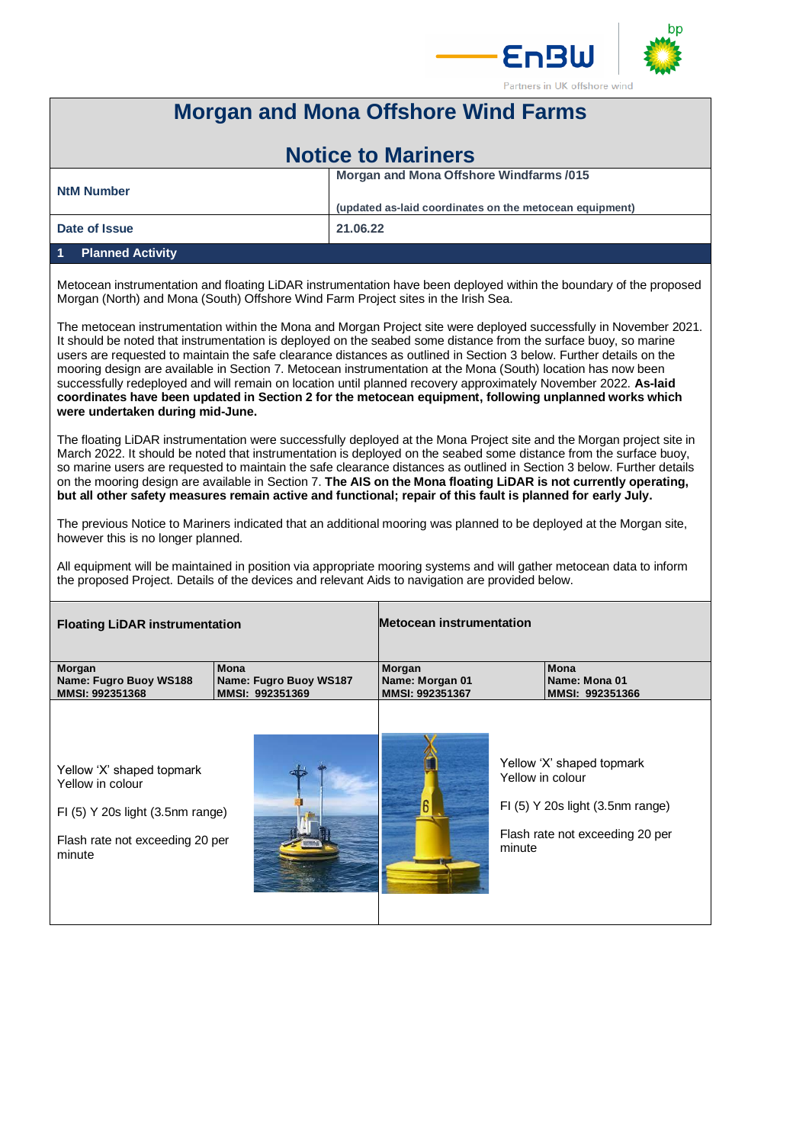

## **Morgan and Mona Offshore Wind Farms**

| <b>Notice to Mariners</b>               |                                                         |  |  |  |  |
|-----------------------------------------|---------------------------------------------------------|--|--|--|--|
| <b>NtM Number</b>                       | <b>Morgan and Mona Offshore Windfarms /015</b>          |  |  |  |  |
|                                         | (updated as-laid coordinates on the metocean equipment) |  |  |  |  |
| Date of Issue                           | 21.06.22                                                |  |  |  |  |
| <b>Planned Activity</b><br>$\mathbf{1}$ |                                                         |  |  |  |  |

Metocean instrumentation and floating LiDAR instrumentation have been deployed within the boundary of the proposed Morgan (North) and Mona (South) Offshore Wind Farm Project sites in the Irish Sea.

The metocean instrumentation within the Mona and Morgan Project site were deployed successfully in November 2021. It should be noted that instrumentation is deployed on the seabed some distance from the surface buoy, so marine users are requested to maintain the safe clearance distances as outlined in Section 3 below. Further details on the mooring design are available in Section 7. Metocean instrumentation at the Mona (South) location has now been successfully redeployed and will remain on location until planned recovery approximately November 2022. **As-laid coordinates have been updated in Section 2 for the metocean equipment, following unplanned works which were undertaken during mid-June.**

The floating LiDAR instrumentation were successfully deployed at the Mona Project site and the Morgan project site in March 2022. It should be noted that instrumentation is deployed on the seabed some distance from the surface buoy, so marine users are requested to maintain the safe clearance distances as outlined in Section 3 below. Further details on the mooring design are available in Section 7. **The AIS on the Mona floating LiDAR is not currently operating, but all other safety measures remain active and functional; repair of this fault is planned for early July.**

The previous Notice to Mariners indicated that an additional mooring was planned to be deployed at the Morgan site, however this is no longer planned.

All equipment will be maintained in position via appropriate mooring systems and will gather metocean data to inform the proposed Project. Details of the devices and relevant Aids to navigation are provided below.

| <b>Floating LiDAR instrumentation</b>                                                                                          |                                                          | <b>Metocean instrumentation</b>              |                                                                                                                                |  |
|--------------------------------------------------------------------------------------------------------------------------------|----------------------------------------------------------|----------------------------------------------|--------------------------------------------------------------------------------------------------------------------------------|--|
| Morgan<br>Name: Fugro Buoy WS188<br>MMSI: 992351368                                                                            | <b>Mona</b><br>Name: Fugro Buoy WS187<br>MMSI: 992351369 | Morgan<br>Name: Morgan 01<br>MMSI: 992351367 | Mona<br>Name: Mona 01<br>MMSI: 992351366                                                                                       |  |
| Yellow 'X' shaped topmark<br>Yellow in colour<br>FI (5) Y 20s light (3.5nm range)<br>Flash rate not exceeding 20 per<br>minute |                                                          |                                              | Yellow 'X' shaped topmark<br>Yellow in colour<br>FI (5) Y 20s light (3.5nm range)<br>Flash rate not exceeding 20 per<br>minute |  |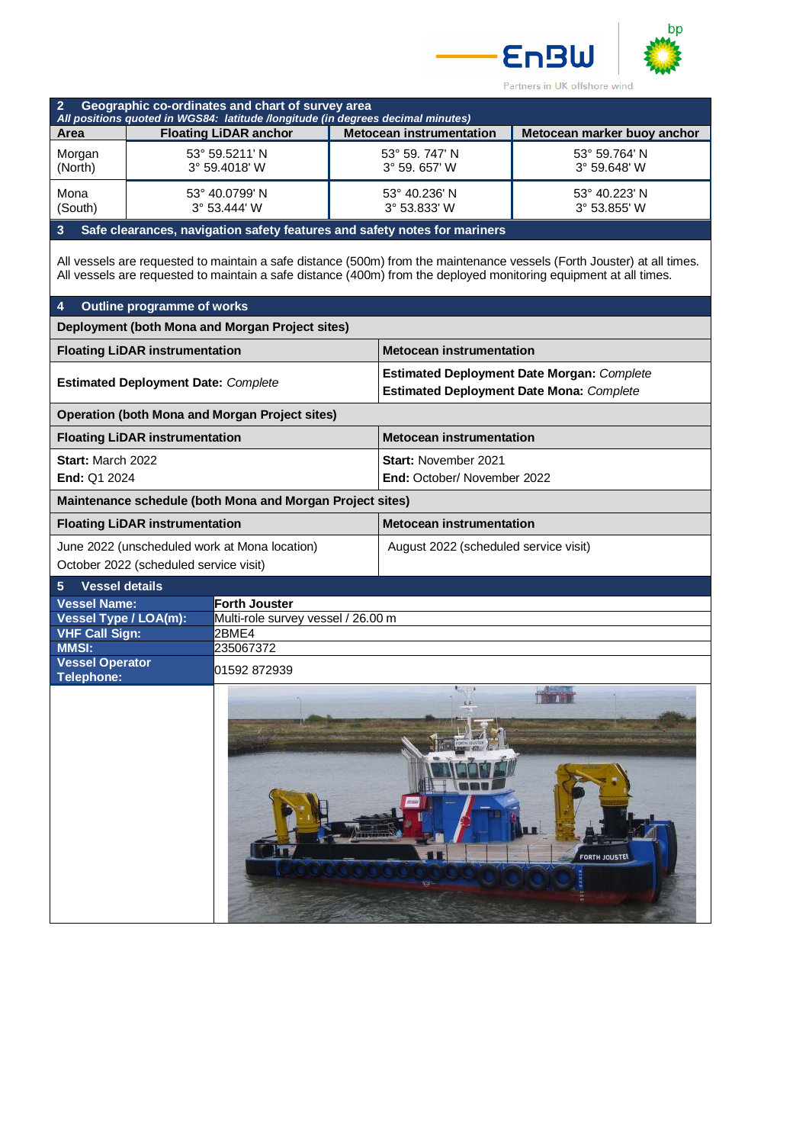



Partners in UK offshore wind

| Geographic co-ordinates and chart of survey area<br>$\overline{2}$<br>All positions quoted in WGS84: latitude /longitude (in degrees decimal minutes) |                                                                           |                                                                                                      |  |                                 |                                                                                                                                                                                                                                              |  |  |  |
|-------------------------------------------------------------------------------------------------------------------------------------------------------|---------------------------------------------------------------------------|------------------------------------------------------------------------------------------------------|--|---------------------------------|----------------------------------------------------------------------------------------------------------------------------------------------------------------------------------------------------------------------------------------------|--|--|--|
| Area                                                                                                                                                  |                                                                           | <b>Floating LiDAR anchor</b>                                                                         |  | <b>Metocean instrumentation</b> | Metocean marker buoy anchor                                                                                                                                                                                                                  |  |  |  |
| Morgan<br>(North)                                                                                                                                     |                                                                           | 53° 59.5211' N<br>3° 59.4018' W                                                                      |  | 53° 59. 747' N<br>3° 59, 657' W | 53° 59.764' N<br>3° 59.648' W                                                                                                                                                                                                                |  |  |  |
| Mona<br>(South)                                                                                                                                       |                                                                           | 53° 40.0799' N<br>3° 53.444' W                                                                       |  | 53° 40.236' N<br>3° 53.833' W   | 53° 40.223' N<br>3° 53.855' W                                                                                                                                                                                                                |  |  |  |
| $\overline{\mathbf{3}}$                                                                                                                               | Safe clearances, navigation safety features and safety notes for mariners |                                                                                                      |  |                                 |                                                                                                                                                                                                                                              |  |  |  |
|                                                                                                                                                       |                                                                           |                                                                                                      |  |                                 | All vessels are requested to maintain a safe distance (500m) from the maintenance vessels (Forth Jouster) at all times.<br>All vessels are requested to maintain a safe distance (400m) from the deployed monitoring equipment at all times. |  |  |  |
| 4                                                                                                                                                     | <b>Outline programme of works</b>                                         |                                                                                                      |  |                                 |                                                                                                                                                                                                                                              |  |  |  |
|                                                                                                                                                       |                                                                           | Deployment (both Mona and Morgan Project sites)                                                      |  |                                 |                                                                                                                                                                                                                                              |  |  |  |
| <b>Floating LiDAR instrumentation</b>                                                                                                                 |                                                                           | <b>Metocean instrumentation</b>                                                                      |  |                                 |                                                                                                                                                                                                                                              |  |  |  |
| <b>Estimated Deployment Date: Complete</b>                                                                                                            |                                                                           | <b>Estimated Deployment Date Morgan: Complete</b><br><b>Estimated Deployment Date Mona: Complete</b> |  |                                 |                                                                                                                                                                                                                                              |  |  |  |
| <b>Operation (both Mona and Morgan Project sites)</b>                                                                                                 |                                                                           |                                                                                                      |  |                                 |                                                                                                                                                                                                                                              |  |  |  |
| <b>Floating LiDAR instrumentation</b>                                                                                                                 |                                                                           | <b>Metocean instrumentation</b>                                                                      |  |                                 |                                                                                                                                                                                                                                              |  |  |  |
| Start: March 2022                                                                                                                                     |                                                                           |                                                                                                      |  | Start: November 2021            |                                                                                                                                                                                                                                              |  |  |  |
| End: Q1 2024                                                                                                                                          |                                                                           | End: October/ November 2022                                                                          |  |                                 |                                                                                                                                                                                                                                              |  |  |  |
| Maintenance schedule (both Mona and Morgan Project sites)                                                                                             |                                                                           |                                                                                                      |  |                                 |                                                                                                                                                                                                                                              |  |  |  |
| <b>Floating LiDAR instrumentation</b>                                                                                                                 |                                                                           | <b>Metocean instrumentation</b>                                                                      |  |                                 |                                                                                                                                                                                                                                              |  |  |  |
| June 2022 (unscheduled work at Mona location)<br>October 2022 (scheduled service visit)                                                               |                                                                           | August 2022 (scheduled service visit)                                                                |  |                                 |                                                                                                                                                                                                                                              |  |  |  |
| <b>Vessel details</b><br>5                                                                                                                            |                                                                           |                                                                                                      |  |                                 |                                                                                                                                                                                                                                              |  |  |  |
| <b>Vessel Name:</b>                                                                                                                                   |                                                                           | <b>Forth Jouster</b>                                                                                 |  |                                 |                                                                                                                                                                                                                                              |  |  |  |
| <b>Vessel Type / LOA(m):</b><br><b>VHF Call Sign:</b>                                                                                                 |                                                                           | Multi-role survey vessel / 26.00 m                                                                   |  |                                 |                                                                                                                                                                                                                                              |  |  |  |
| <b>MMSI:</b>                                                                                                                                          |                                                                           | 2BME4<br>235067372                                                                                   |  |                                 |                                                                                                                                                                                                                                              |  |  |  |
| <b>Vessel Operator</b><br><b>Telephone:</b>                                                                                                           |                                                                           | 01592 872939                                                                                         |  |                                 |                                                                                                                                                                                                                                              |  |  |  |
|                                                                                                                                                       |                                                                           |                                                                                                      |  | <b>Colta Life A</b><br>五本       | <b>FORTH JOUSTER</b>                                                                                                                                                                                                                         |  |  |  |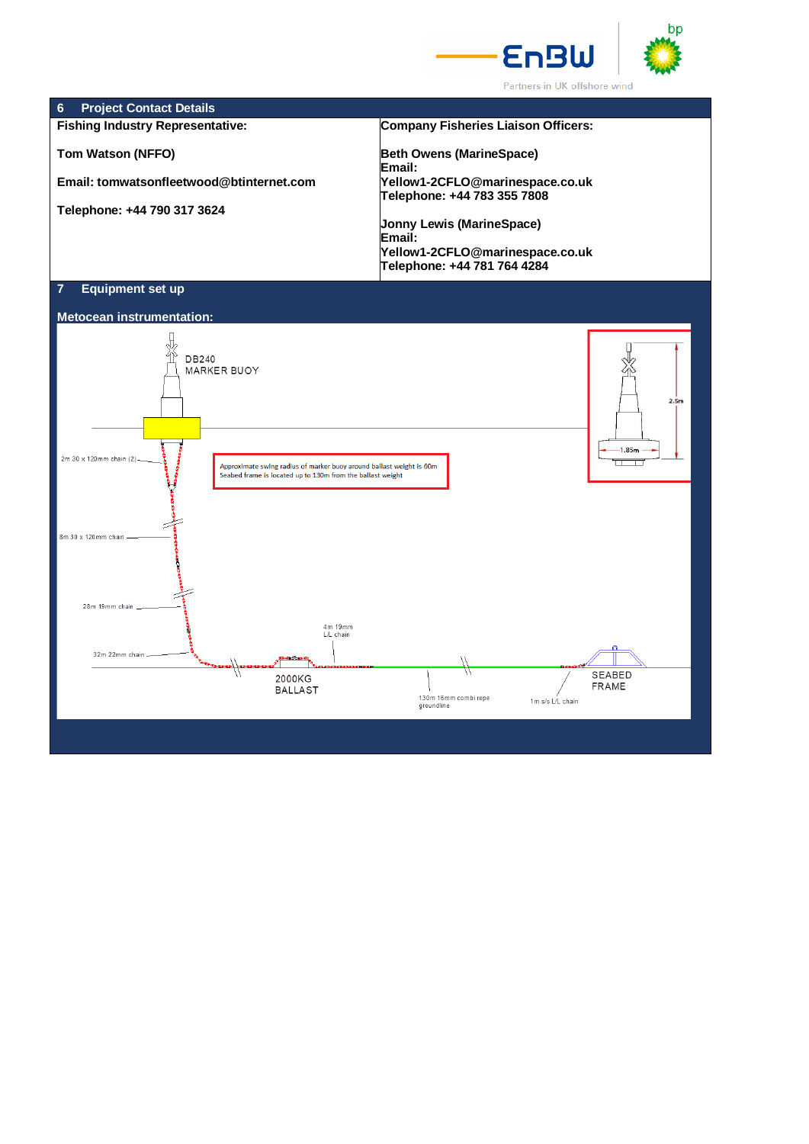



**6 Project Contact Details Fishing Industry Representative: Company Fisheries Liaison Officers: Tom Watson (NFFO) Beth Owens (MarineSpace) Email: Yellow1-2CFLO@marinespace.co.uk Email: tomwatsonfleetwood@btinternet.com Telephone: +44 783 355 7808 Telephone: +44 790 317 3624 Jonny Lewis (MarineSpace) Email: Yellow1-2CFLO@marinespace.co.uk Telephone: +44 781 764 4284 7 Equipment set up Metocean instrumentation:** $\frac{1}{2}$ DB240 MARKER BUOY  $2.5<sub>m</sub>$  $-1.85m -$ 2m 30 x 120mm chain (2). Approximate swing radius of marker buoy around ballast weight is 60m<br>Seabed frame is located up to 130m from the ballast weight  $\overline{\top}$  $\overline{\mathbf{u}}$ J. 8m 30 x 120mm chain 28m 19mm chair 4m 19mm<br>L/L chain 32m 22mm chain SEABED 2000KG FRAME **BALLAST** 130m 16mm combi rope<br>groundline  $1m$  s/s L/L chain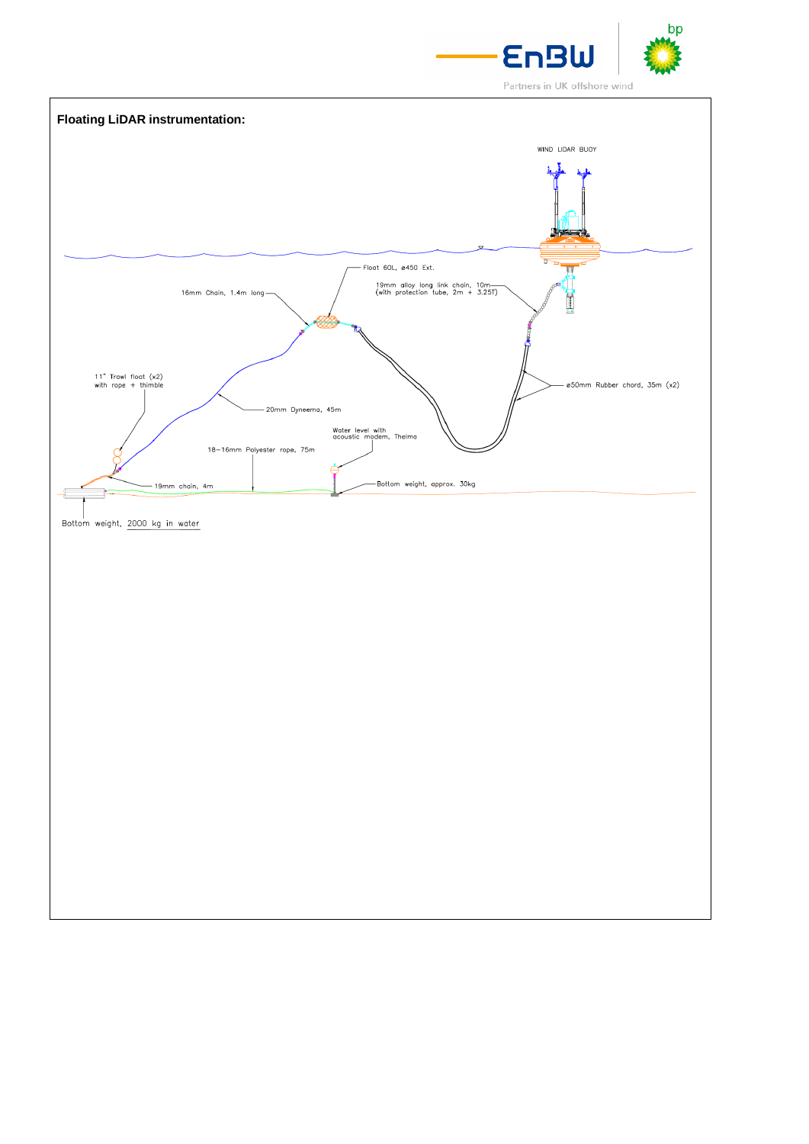